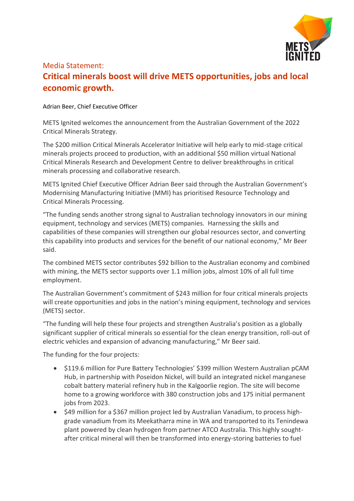

## Media Statement: **Critical minerals boost will drive METS opportunities, jobs and local economic growth.**

## Adrian Beer, Chief Executive Officer

METS Ignited welcomes the announcement from the Australian Government of the 2022 Critical Minerals Strategy.

The \$200 million Critical Minerals Accelerator Initiative will help early to mid-stage critical minerals projects proceed to production, with an additional \$50 million virtual National Critical Minerals Research and Development Centre to deliver breakthroughs in critical minerals processing and collaborative research.

METS Ignited Chief Executive Officer Adrian Beer said through the Australian Government's Modernising Manufacturing Initiative (MMI) has prioritised Resource Technology and Critical Minerals Processing.

"The funding sends another strong signal to Australian technology innovators in our mining equipment, technology and services (METS) companies. Harnessing the skills and capabilities of these companies will strengthen our global resources sector, and converting this capability into products and services for the benefit of our national economy," Mr Beer said.

The combined METS sector contributes \$92 billion to the Australian economy and combined with mining, the METS sector supports over 1.1 million jobs, almost 10% of all full time employment.

The Australian Government's commitment of \$243 million for four critical minerals projects will create opportunities and jobs in the nation's mining equipment, technology and services (METS) sector.

"The funding will help these four projects and strengthen Australia's position as a globally significant supplier of critical minerals so essential for the clean energy transition, roll-out of electric vehicles and expansion of advancing manufacturing," Mr Beer said.

The funding for the four projects:

- \$119.6 million for Pure Battery Technologies' \$399 million Western Australian pCAM Hub, in partnership with Poseidon Nickel, will build an integrated nickel manganese cobalt battery material refinery hub in the Kalgoorlie region. The site will become home to a growing workforce with 380 construction jobs and 175 initial permanent jobs from 2023.
- \$49 million for a \$367 million project led by Australian Vanadium, to process highgrade vanadium from its Meekatharra mine in WA and transported to its Tenindewa plant powered by clean hydrogen from partner ATCO Australia. This highly soughtafter critical mineral will then be transformed into energy-storing batteries to fuel